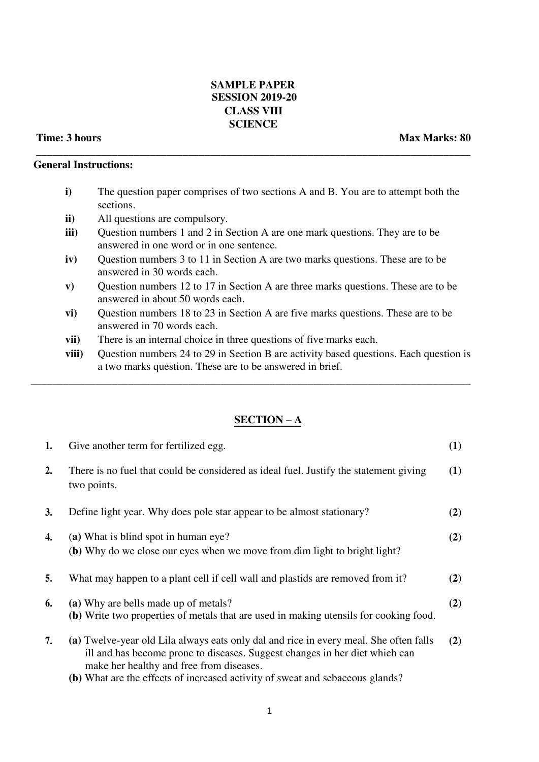## **SAMPLE PAPER SESSION 2019-20 CLASS VIII SCIENCE**

**\_\_\_\_\_\_\_\_\_\_\_\_\_\_\_\_\_\_\_\_\_\_\_\_\_\_\_\_\_\_\_\_\_\_\_\_\_\_\_\_\_\_\_\_\_\_\_\_\_\_\_\_\_\_\_\_\_\_\_\_\_\_\_\_\_\_\_\_\_\_\_\_\_\_\_\_\_\_\_\_** 

## **Time: 3 hours Max Marks: 80 Max Marks: 80 Max Marks: 80**

## **General Instructions:**

- **i)** The question paper comprises of two sections A and B. You are to attempt both the sections.
- **ii)** All questions are compulsory.
- **iii**) Question numbers 1 and 2 in Section A are one mark questions. They are to be answered in one word or in one sentence.
- **iv)** Question numbers 3 to 11 in Section A are two marks questions. These are to be answered in 30 words each.
- **v)** Question numbers 12 to 17 in Section A are three marks questions. These are to be answered in about 50 words each.
- **vi)** Question numbers 18 to 23 in Section A are five marks questions. These are to be answered in 70 words each.

\_\_\_\_\_\_\_\_\_\_\_\_\_\_\_\_\_\_\_\_\_\_\_\_\_\_\_\_\_\_\_\_\_\_\_\_\_\_\_\_\_\_\_\_\_\_\_\_\_\_\_\_\_\_\_\_\_\_\_\_\_\_\_\_\_\_\_\_\_\_\_\_\_\_\_\_\_\_\_\_\_

- **vii)** There is an internal choice in three questions of five marks each.
- **viii)** Question numbers 24 to 29 in Section B are activity based questions. Each question is a two marks question. These are to be answered in brief.

## **SECTION – A**

| 1. | Give another term for fertilized egg.                                                                                                                                | (1) |
|----|----------------------------------------------------------------------------------------------------------------------------------------------------------------------|-----|
| 2. | There is no fuel that could be considered as ideal fuel. Justify the statement giving<br>two points.                                                                 | (1) |
| 3. | Define light year. Why does pole star appear to be almost stationary?                                                                                                | (2) |
| 4. | (a) What is blind spot in human eye?<br>(b) Why do we close our eyes when we move from dim light to bright light?                                                    | (2) |
| 5. | What may happen to a plant cell if cell wall and plastids are removed from it?                                                                                       | (2) |
| 6. | (a) Why are bells made up of metals?<br>(b) Write two properties of metals that are used in making utensils for cooking food.                                        | (2) |
| 7. | (a) Twelve-year old Lila always eats only dal and rice in every meal. She often falls<br>ill and has become prone to diseases. Suggest changes in her diet which can | (2) |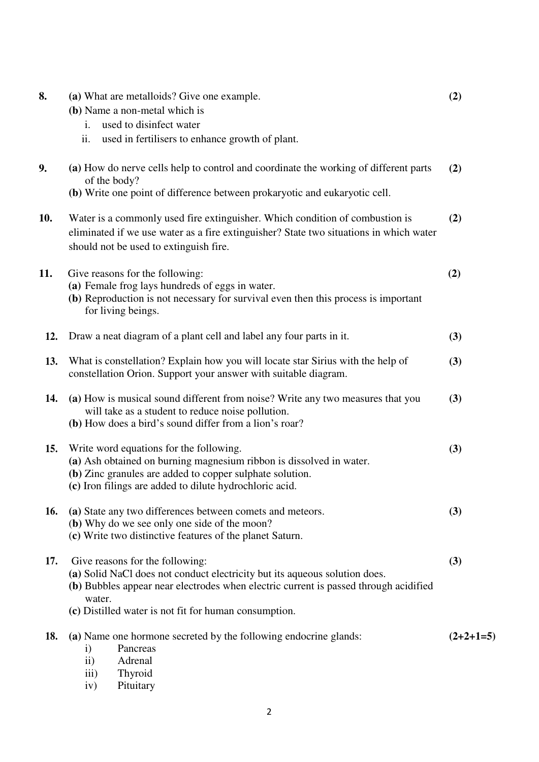| 8.  | (a) What are metalloids? Give one example.<br>(b) Name a non-metal which is                                                                                                                                                                                              | (2)         |
|-----|--------------------------------------------------------------------------------------------------------------------------------------------------------------------------------------------------------------------------------------------------------------------------|-------------|
|     | used to disinfect water<br>$\mathbf{i}$ .<br>ii.<br>used in fertilisers to enhance growth of plant.                                                                                                                                                                      |             |
| 9.  | (a) How do nerve cells help to control and coordinate the working of different parts<br>of the body?<br>(b) Write one point of difference between prokaryotic and eukaryotic cell.                                                                                       | (2)         |
| 10. | Water is a commonly used fire extinguisher. Which condition of combustion is<br>eliminated if we use water as a fire extinguisher? State two situations in which water<br>should not be used to extinguish fire.                                                         | (2)         |
| 11. | Give reasons for the following:<br>(a) Female frog lays hundreds of eggs in water.<br>(b) Reproduction is not necessary for survival even then this process is important<br>for living beings.                                                                           | (2)         |
| 12. | Draw a neat diagram of a plant cell and label any four parts in it.                                                                                                                                                                                                      | (3)         |
| 13. | What is constellation? Explain how you will locate star Sirius with the help of<br>constellation Orion. Support your answer with suitable diagram.                                                                                                                       | (3)         |
| 14. | (a) How is musical sound different from noise? Write any two measures that you<br>will take as a student to reduce noise pollution.<br>(b) How does a bird's sound differ from a lion's roar?                                                                            | (3)         |
| 15. | Write word equations for the following.<br>(a) Ash obtained on burning magnesium ribbon is dissolved in water.<br>(b) Zinc granules are added to copper sulphate solution.<br>(c) Iron filings are added to dilute hydrochloric acid.                                    | (3)         |
| 16. | (a) State any two differences between comets and meteors.<br>(b) Why do we see only one side of the moon?<br>(c) Write two distinctive features of the planet Saturn.                                                                                                    | (3)         |
| 17. | Give reasons for the following:<br>(a) Solid NaCl does not conduct electricity but its aqueous solution does.<br>(b) Bubbles appear near electrodes when electric current is passed through acidified<br>water.<br>(c) Distilled water is not fit for human consumption. | (3)         |
| 18. | (a) Name one hormone secreted by the following endocrine glands:<br>Pancreas<br>$\mathbf{i}$<br>$\mathbf{ii}$<br>Adrenal<br>Thyroid<br>$\overline{111}$<br>Pituitary<br>iv)                                                                                              | $(2+2+1=5)$ |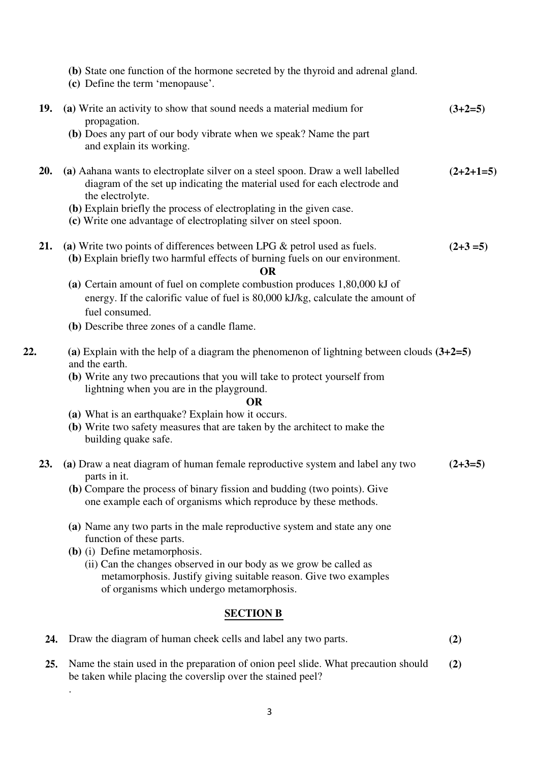|     | (b) State one function of the hormone secreted by the thyroid and adrenal gland.<br>(c) Define the term 'menopause'.                                                               |             |
|-----|------------------------------------------------------------------------------------------------------------------------------------------------------------------------------------|-------------|
| 19. | (a) Write an activity to show that sound needs a material medium for<br>propagation.                                                                                               | $(3+2=5)$   |
|     | (b) Does any part of our body vibrate when we speak? Name the part<br>and explain its working.                                                                                     |             |
| 20. | (a) Aahana wants to electroplate silver on a steel spoon. Draw a well labelled<br>diagram of the set up indicating the material used for each electrode and<br>the electrolyte.    | $(2+2+1=5)$ |
|     | (b) Explain briefly the process of electroplating in the given case.<br>(c) Write one advantage of electroplating silver on steel spoon.                                           |             |
| 21. | (a) Write two points of differences between LPG $\&$ petrol used as fuels.<br>(b) Explain briefly two harmful effects of burning fuels on our environment.<br><b>OR</b>            | $(2+3=5)$   |
|     | (a) Certain amount of fuel on complete combustion produces $1,80,000$ kJ of<br>energy. If the calorific value of fuel is 80,000 kJ/kg, calculate the amount of<br>fuel consumed.   |             |
|     | (b) Describe three zones of a candle flame.                                                                                                                                        |             |
| 22. | (a) Explain with the help of a diagram the phenomenon of lightning between clouds $(3+2=5)$<br>and the earth.                                                                      |             |
|     | (b) Write any two precautions that you will take to protect yourself from<br>lightning when you are in the playground.                                                             |             |
|     | <b>OR</b><br>(a) What is an earthquake? Explain how it occurs.                                                                                                                     |             |
|     | (b) Write two safety measures that are taken by the architect to make the<br>building quake safe.                                                                                  |             |
| 23. | (a) Draw a neat diagram of human female reproductive system and label any two<br>parts in it.                                                                                      | $(2+3=5)$   |
|     | (b) Compare the process of binary fission and budding (two points). Give<br>one example each of organisms which reproduce by these methods.                                        |             |
|     | (a) Name any two parts in the male reproductive system and state any one<br>function of these parts.                                                                               |             |
|     | (b) (i) Define metamorphosis.                                                                                                                                                      |             |
|     | (ii) Can the changes observed in our body as we grow be called as<br>metamorphosis. Justify giving suitable reason. Give two examples<br>of organisms which undergo metamorphosis. |             |
|     | <b>SECTION B</b>                                                                                                                                                                   |             |
| 24. | Draw the diagram of human cheek cells and label any two parts.                                                                                                                     | (2)         |
| 25. | Name the stain used in the preparation of onion peel slide. What precaution should                                                                                                 | (2)         |

**25.** Name the stain used in the preparation of onion peel slide. What precaution should **(2)**  be taken while placing the coverslip over the stained peel?

.